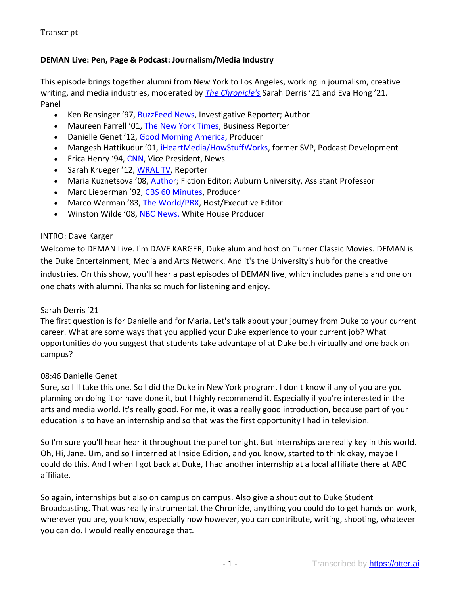## **DEMAN Live: Pen, Page & Podcast: Journalism/Media Industry**

This episode brings together alumni from New York to Los Angeles, working in journalism, creative writing, and media industries, moderated by *[The Chronicle's](http://dukechronicle.com/)* Sarah Derris '21 and Eva Hong '21. Panel

- Ken Bensinger '97, [BuzzFeed News,](https://urldefense.com/v3/__https:/duke.us17.list-manage.com/track/click?u=0c2aa4e8e8ea3ebf26da061b2&id=27afd130a0&e=3ddaaa347d__;!!OToaGQ!4O9mgkfbtCgga6SbOYWoxFZjmDDGOO473K1sxMQiAMHCXW0K4FmJPQggO6kjVn6pyeM$) Investigative Reporter; Author
- Maureen Farrell '01, [The New York Times,](https://www.linkedin.com/in/maureen-farrell-8227565) Business Reporter
- Danielle Genet '12, [Good Morning America,](https://www.linkedin.com/in/danielle-genet-17004421) Producer
- Mangesh Hattikudur '01, *iHeartMedia/HowStuffWorks*, former SVP, Podcast Development
- Erica Henry '94, [CNN,](https://urldefense.com/v3/__https:/duke.us17.list-manage.com/track/click?u=0c2aa4e8e8ea3ebf26da061b2&id=666504152c&e=3ddaaa347d__;!!OToaGQ!4O9mgkfbtCgga6SbOYWoxFZjmDDGOO473K1sxMQiAMHCXW0K4FmJPQggO6kjDfEreTw$) Vice President, News
- Sarah Krueger '12, [WRAL TV,](https://urldefense.com/v3/__https:/duke.us17.list-manage.com/track/click?u=0c2aa4e8e8ea3ebf26da061b2&id=b05e913e00&e=3ddaaa347d__;!!OToaGQ!4O9mgkfbtCgga6SbOYWoxFZjmDDGOO473K1sxMQiAMHCXW0K4FmJPQggO6kj7WPaliI$) Reporter
- Maria Kuznetsova '08, [Author;](https://mariakuznetsova.com/) Fiction Editor; Auburn University, Assistant Professor
- Marc Lieberman '92, [CBS 60 Minutes,](https://urldefense.com/v3/__https:/duke.us17.list-manage.com/track/click?u=0c2aa4e8e8ea3ebf26da061b2&id=78931915f7&e=3ddaaa347d__;!!OToaGQ!4O9mgkfbtCgga6SbOYWoxFZjmDDGOO473K1sxMQiAMHCXW0K4FmJPQggO6kj_UG8FS4$) Producer
- Marco Werman '83, [The World/PRX,](https://urldefense.com/v3/__https:/duke.us17.list-manage.com/track/click?u=0c2aa4e8e8ea3ebf26da061b2&id=8c1a344497&e=3ddaaa347d__;!!OToaGQ!4O9mgkfbtCgga6SbOYWoxFZjmDDGOO473K1sxMQiAMHCXW0K4FmJPQggO6kjSzmiNTE$) Host/Executive Editor
- Winston Wilde '08, [NBC News,](https://winstonmedia.wordpress.com/about/) White House Producer

#### INTRO: Dave Karger

Welcome to DEMAN Live. I'm DAVE KARGER, Duke alum and host on Turner Classic Movies. DEMAN is the Duke Entertainment, Media and Arts Network. And it's the University's hub for the creative industries. On this show, you'll hear a past episodes of DEMAN live, which includes panels and one on one chats with alumni. Thanks so much for listening and enjoy.

#### Sarah Derris '21

The first question is for Danielle and for Maria. Let's talk about your journey from Duke to your current career. What are some ways that you applied your Duke experience to your current job? What opportunities do you suggest that students take advantage of at Duke both virtually and one back on campus?

#### 08:46 Danielle Genet

Sure, so I'll take this one. So I did the Duke in New York program. I don't know if any of you are you planning on doing it or have done it, but I highly recommend it. Especially if you're interested in the arts and media world. It's really good. For me, it was a really good introduction, because part of your education is to have an internship and so that was the first opportunity I had in television.

So I'm sure you'll hear hear it throughout the panel tonight. But internships are really key in this world. Oh, Hi, Jane. Um, and so I interned at Inside Edition, and you know, started to think okay, maybe I could do this. And I when I got back at Duke, I had another internship at a local affiliate there at ABC affiliate.

So again, internships but also on campus on campus. Also give a shout out to Duke Student Broadcasting. That was really instrumental, the Chronicle, anything you could do to get hands on work, wherever you are, you know, especially now however, you can contribute, writing, shooting, whatever you can do. I would really encourage that.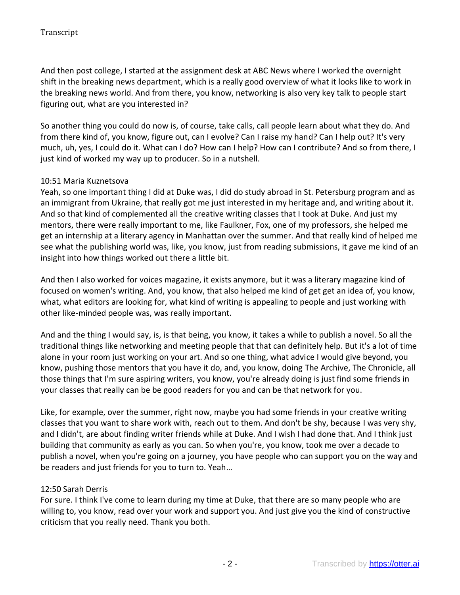And then post college, I started at the assignment desk at ABC News where I worked the overnight shift in the breaking news department, which is a really good overview of what it looks like to work in the breaking news world. And from there, you know, networking is also very key talk to people start figuring out, what are you interested in?

So another thing you could do now is, of course, take calls, call people learn about what they do. And from there kind of, you know, figure out, can I evolve? Can I raise my hand? Can I help out? It's very much, uh, yes, I could do it. What can I do? How can I help? How can I contribute? And so from there, I just kind of worked my way up to producer. So in a nutshell.

## 10:51 Maria Kuznetsova

Yeah, so one important thing I did at Duke was, I did do study abroad in St. Petersburg program and as an immigrant from Ukraine, that really got me just interested in my heritage and, and writing about it. And so that kind of complemented all the creative writing classes that I took at Duke. And just my mentors, there were really important to me, like Faulkner, Fox, one of my professors, she helped me get an internship at a literary agency in Manhattan over the summer. And that really kind of helped me see what the publishing world was, like, you know, just from reading submissions, it gave me kind of an insight into how things worked out there a little bit.

And then I also worked for voices magazine, it exists anymore, but it was a literary magazine kind of focused on women's writing. And, you know, that also helped me kind of get get an idea of, you know, what, what editors are looking for, what kind of writing is appealing to people and just working with other like-minded people was, was really important.

And and the thing I would say, is, is that being, you know, it takes a while to publish a novel. So all the traditional things like networking and meeting people that that can definitely help. But it's a lot of time alone in your room just working on your art. And so one thing, what advice I would give beyond, you know, pushing those mentors that you have it do, and, you know, doing The Archive, The Chronicle, all those things that I'm sure aspiring writers, you know, you're already doing is just find some friends in your classes that really can be be good readers for you and can be that network for you.

Like, for example, over the summer, right now, maybe you had some friends in your creative writing classes that you want to share work with, reach out to them. And don't be shy, because I was very shy, and I didn't, are about finding writer friends while at Duke. And I wish I had done that. And I think just building that community as early as you can. So when you're, you know, took me over a decade to publish a novel, when you're going on a journey, you have people who can support you on the way and be readers and just friends for you to turn to. Yeah…

## 12:50 Sarah Derris

For sure. I think I've come to learn during my time at Duke, that there are so many people who are willing to, you know, read over your work and support you. And just give you the kind of constructive criticism that you really need. Thank you both.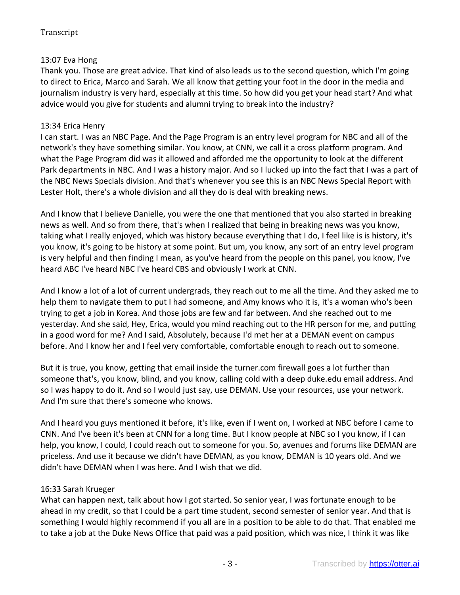# 13:07 Eva Hong

Thank you. Those are great advice. That kind of also leads us to the second question, which I'm going to direct to Erica, Marco and Sarah. We all know that getting your foot in the door in the media and journalism industry is very hard, especially at this time. So how did you get your head start? And what advice would you give for students and alumni trying to break into the industry?

## 13:34 Erica Henry

I can start. I was an NBC Page. And the Page Program is an entry level program for NBC and all of the network's they have something similar. You know, at CNN, we call it a cross platform program. And what the Page Program did was it allowed and afforded me the opportunity to look at the different Park departments in NBC. And I was a history major. And so I lucked up into the fact that I was a part of the NBC News Specials division. And that's whenever you see this is an NBC News Special Report with Lester Holt, there's a whole division and all they do is deal with breaking news.

And I know that I believe Danielle, you were the one that mentioned that you also started in breaking news as well. And so from there, that's when I realized that being in breaking news was you know, taking what I really enjoyed, which was history because everything that I do, I feel like is is history, it's you know, it's going to be history at some point. But um, you know, any sort of an entry level program is very helpful and then finding I mean, as you've heard from the people on this panel, you know, I've heard ABC I've heard NBC I've heard CBS and obviously I work at CNN.

And I know a lot of a lot of current undergrads, they reach out to me all the time. And they asked me to help them to navigate them to put I had someone, and Amy knows who it is, it's a woman who's been trying to get a job in Korea. And those jobs are few and far between. And she reached out to me yesterday. And she said, Hey, Erica, would you mind reaching out to the HR person for me, and putting in a good word for me? And I said, Absolutely, because I'd met her at a DEMAN event on campus before. And I know her and I feel very comfortable, comfortable enough to reach out to someone.

But it is true, you know, getting that email inside the turner.com firewall goes a lot further than someone that's, you know, blind, and you know, calling cold with a deep duke.edu email address. And so I was happy to do it. And so I would just say, use DEMAN. Use your resources, use your network. And I'm sure that there's someone who knows.

And I heard you guys mentioned it before, it's like, even if I went on, I worked at NBC before I came to CNN. And I've been it's been at CNN for a long time. But I know people at NBC so I you know, if I can help, you know, I could, I could reach out to someone for you. So, avenues and forums like DEMAN are priceless. And use it because we didn't have DEMAN, as you know, DEMAN is 10 years old. And we didn't have DEMAN when I was here. And I wish that we did.

## 16:33 Sarah Krueger

What can happen next, talk about how I got started. So senior year, I was fortunate enough to be ahead in my credit, so that I could be a part time student, second semester of senior year. And that is something I would highly recommend if you all are in a position to be able to do that. That enabled me to take a job at the Duke News Office that paid was a paid position, which was nice, I think it was like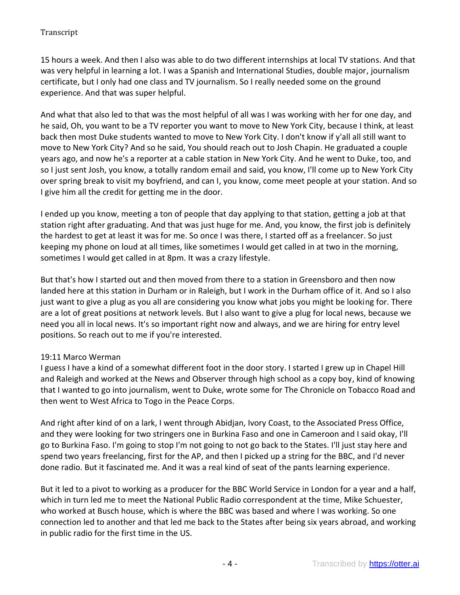15 hours a week. And then I also was able to do two different internships at local TV stations. And that was very helpful in learning a lot. I was a Spanish and International Studies, double major, journalism certificate, but I only had one class and TV journalism. So I really needed some on the ground experience. And that was super helpful.

And what that also led to that was the most helpful of all was I was working with her for one day, and he said, Oh, you want to be a TV reporter you want to move to New York City, because I think, at least back then most Duke students wanted to move to New York City. I don't know if y'all all still want to move to New York City? And so he said, You should reach out to Josh Chapin. He graduated a couple years ago, and now he's a reporter at a cable station in New York City. And he went to Duke, too, and so I just sent Josh, you know, a totally random email and said, you know, I'll come up to New York City over spring break to visit my boyfriend, and can I, you know, come meet people at your station. And so I give him all the credit for getting me in the door.

I ended up you know, meeting a ton of people that day applying to that station, getting a job at that station right after graduating. And that was just huge for me. And, you know, the first job is definitely the hardest to get at least it was for me. So once I was there, I started off as a freelancer. So just keeping my phone on loud at all times, like sometimes I would get called in at two in the morning, sometimes I would get called in at 8pm. It was a crazy lifestyle.

But that's how I started out and then moved from there to a station in Greensboro and then now landed here at this station in Durham or in Raleigh, but I work in the Durham office of it. And so I also just want to give a plug as you all are considering you know what jobs you might be looking for. There are a lot of great positions at network levels. But I also want to give a plug for local news, because we need you all in local news. It's so important right now and always, and we are hiring for entry level positions. So reach out to me if you're interested.

## 19:11 Marco Werman

I guess I have a kind of a somewhat different foot in the door story. I started I grew up in Chapel Hill and Raleigh and worked at the News and Observer through high school as a copy boy, kind of knowing that I wanted to go into journalism, went to Duke, wrote some for The Chronicle on Tobacco Road and then went to West Africa to Togo in the Peace Corps.

And right after kind of on a lark, I went through Abidjan, Ivory Coast, to the Associated Press Office, and they were looking for two stringers one in Burkina Faso and one in Cameroon and I said okay, I'll go to Burkina Faso. I'm going to stop I'm not going to not go back to the States. I'll just stay here and spend two years freelancing, first for the AP, and then I picked up a string for the BBC, and I'd never done radio. But it fascinated me. And it was a real kind of seat of the pants learning experience.

But it led to a pivot to working as a producer for the BBC World Service in London for a year and a half, which in turn led me to meet the National Public Radio correspondent at the time, Mike Schuester, who worked at Busch house, which is where the BBC was based and where I was working. So one connection led to another and that led me back to the States after being six years abroad, and working in public radio for the first time in the US.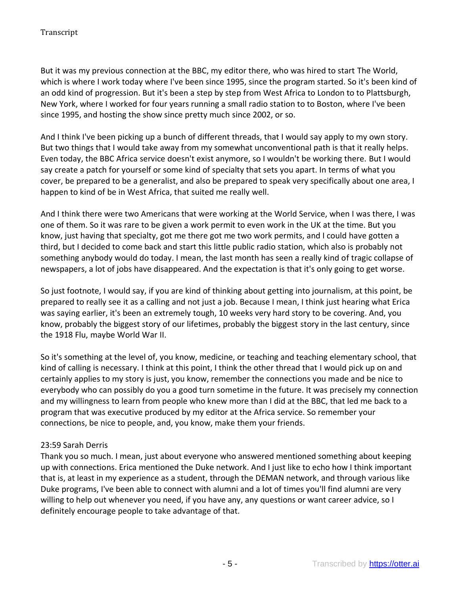But it was my previous connection at the BBC, my editor there, who was hired to start The World, which is where I work today where I've been since 1995, since the program started. So it's been kind of an odd kind of progression. But it's been a step by step from West Africa to London to to Plattsburgh, New York, where I worked for four years running a small radio station to to Boston, where I've been since 1995, and hosting the show since pretty much since 2002, or so.

And I think I've been picking up a bunch of different threads, that I would say apply to my own story. But two things that I would take away from my somewhat unconventional path is that it really helps. Even today, the BBC Africa service doesn't exist anymore, so I wouldn't be working there. But I would say create a patch for yourself or some kind of specialty that sets you apart. In terms of what you cover, be prepared to be a generalist, and also be prepared to speak very specifically about one area, I happen to kind of be in West Africa, that suited me really well.

And I think there were two Americans that were working at the World Service, when I was there, I was one of them. So it was rare to be given a work permit to even work in the UK at the time. But you know, just having that specialty, got me there got me two work permits, and I could have gotten a third, but I decided to come back and start this little public radio station, which also is probably not something anybody would do today. I mean, the last month has seen a really kind of tragic collapse of newspapers, a lot of jobs have disappeared. And the expectation is that it's only going to get worse.

So just footnote, I would say, if you are kind of thinking about getting into journalism, at this point, be prepared to really see it as a calling and not just a job. Because I mean, I think just hearing what Erica was saying earlier, it's been an extremely tough, 10 weeks very hard story to be covering. And, you know, probably the biggest story of our lifetimes, probably the biggest story in the last century, since the 1918 Flu, maybe World War II.

So it's something at the level of, you know, medicine, or teaching and teaching elementary school, that kind of calling is necessary. I think at this point, I think the other thread that I would pick up on and certainly applies to my story is just, you know, remember the connections you made and be nice to everybody who can possibly do you a good turn sometime in the future. It was precisely my connection and my willingness to learn from people who knew more than I did at the BBC, that led me back to a program that was executive produced by my editor at the Africa service. So remember your connections, be nice to people, and, you know, make them your friends.

## 23:59 Sarah Derris

Thank you so much. I mean, just about everyone who answered mentioned something about keeping up with connections. Erica mentioned the Duke network. And I just like to echo how I think important that is, at least in my experience as a student, through the DEMAN network, and through various like Duke programs, I've been able to connect with alumni and a lot of times you'll find alumni are very willing to help out whenever you need, if you have any, any questions or want career advice, so I definitely encourage people to take advantage of that.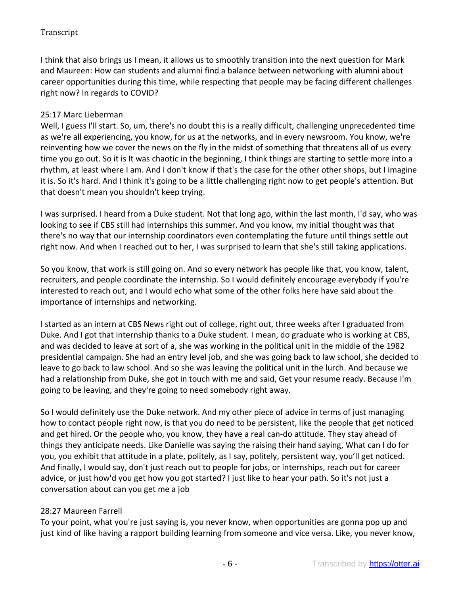I think that also brings us I mean, it allows us to smoothly transition into the next question for Mark and Maureen: How can students and alumni find a balance between networking with alumni about career opportunities during this time, while respecting that people may be facing different challenges right now? In regards to COVID?

## 25:17 Marc Lieberman

Well, I guess I'll start. So, um, there's no doubt this is a really difficult, challenging unprecedented time as we're all experiencing, you know, for us at the networks, and in every newsroom. You know, we're reinventing how we cover the news on the fly in the midst of something that threatens all of us every time you go out. So it is It was chaotic in the beginning, I think things are starting to settle more into a rhythm, at least where I am. And I don't know if that's the case for the other other shops, but I imagine it is. So it's hard. And I think it's going to be a little challenging right now to get people's attention. But that doesn't mean you shouldn't keep trying.

I was surprised. I heard from a Duke student. Not that long ago, within the last month, I'd say, who was looking to see if CBS still had internships this summer. And you know, my initial thought was that there's no way that our internship coordinators even contemplating the future until things settle out right now. And when I reached out to her, I was surprised to learn that she's still taking applications.

So you know, that work is still going on. And so every network has people like that, you know, talent, recruiters, and people coordinate the internship. So I would definitely encourage everybody if you're interested to reach out, and I would echo what some of the other folks here have said about the importance of internships and networking.

I started as an intern at CBS News right out of college, right out, three weeks after I graduated from Duke. And I got that internship thanks to a Duke student. I mean, do graduate who is working at CBS, and was decided to leave at sort of a, she was working in the political unit in the middle of the 1982 presidential campaign. She had an entry level job, and she was going back to law school, she decided to leave to go back to law school. And so she was leaving the political unit in the lurch. And because we had a relationship from Duke, she got in touch with me and said, Get your resume ready. Because I'm going to be leaving, and they're going to need somebody right away.

So I would definitely use the Duke network. And my other piece of advice in terms of just managing how to contact people right now, is that you do need to be persistent, like the people that get noticed and get hired. Or the people who, you know, they have a real can-do attitude. They stay ahead of things they anticipate needs. Like Danielle was saying the raising their hand saying, What can I do for you, you exhibit that attitude in a plate, politely, as I say, politely, persistent way, you'll get noticed. And finally, I would say, don't just reach out to people for jobs, or internships, reach out for career advice, or just how'd you get how you got started? I just like to hear your path. So it's not just a conversation about can you get me a job

## 28:27 Maureen Farrell

To your point, what you're just saying is, you never know, when opportunities are gonna pop up and just kind of like having a rapport building learning from someone and vice versa. Like, you never know,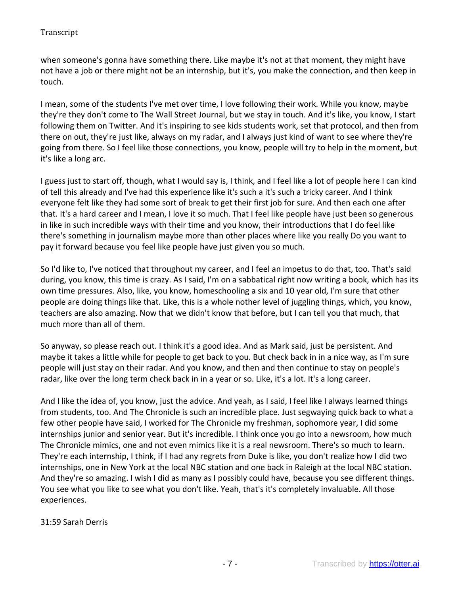when someone's gonna have something there. Like maybe it's not at that moment, they might have not have a job or there might not be an internship, but it's, you make the connection, and then keep in touch.

I mean, some of the students I've met over time, I love following their work. While you know, maybe they're they don't come to The Wall Street Journal, but we stay in touch. And it's like, you know, I start following them on Twitter. And it's inspiring to see kids students work, set that protocol, and then from there on out, they're just like, always on my radar, and I always just kind of want to see where they're going from there. So I feel like those connections, you know, people will try to help in the moment, but it's like a long arc.

I guess just to start off, though, what I would say is, I think, and I feel like a lot of people here I can kind of tell this already and I've had this experience like it's such a it's such a tricky career. And I think everyone felt like they had some sort of break to get their first job for sure. And then each one after that. It's a hard career and I mean, I love it so much. That I feel like people have just been so generous in like in such incredible ways with their time and you know, their introductions that I do feel like there's something in journalism maybe more than other places where like you really Do you want to pay it forward because you feel like people have just given you so much.

So I'd like to, I've noticed that throughout my career, and I feel an impetus to do that, too. That's said during, you know, this time is crazy. As I said, I'm on a sabbatical right now writing a book, which has its own time pressures. Also, like, you know, homeschooling a six and 10 year old, I'm sure that other people are doing things like that. Like, this is a whole nother level of juggling things, which, you know, teachers are also amazing. Now that we didn't know that before, but I can tell you that much, that much more than all of them.

So anyway, so please reach out. I think it's a good idea. And as Mark said, just be persistent. And maybe it takes a little while for people to get back to you. But check back in in a nice way, as I'm sure people will just stay on their radar. And you know, and then and then continue to stay on people's radar, like over the long term check back in in a year or so. Like, it's a lot. It's a long career.

And I like the idea of, you know, just the advice. And yeah, as I said, I feel like I always learned things from students, too. And The Chronicle is such an incredible place. Just segwaying quick back to what a few other people have said, I worked for The Chronicle my freshman, sophomore year, I did some internships junior and senior year. But it's incredible. I think once you go into a newsroom, how much The Chronicle mimics, one and not even mimics like it is a real newsroom. There's so much to learn. They're each internship, I think, if I had any regrets from Duke is like, you don't realize how I did two internships, one in New York at the local NBC station and one back in Raleigh at the local NBC station. And they're so amazing. I wish I did as many as I possibly could have, because you see different things. You see what you like to see what you don't like. Yeah, that's it's completely invaluable. All those experiences.

## 31:59 Sarah Derris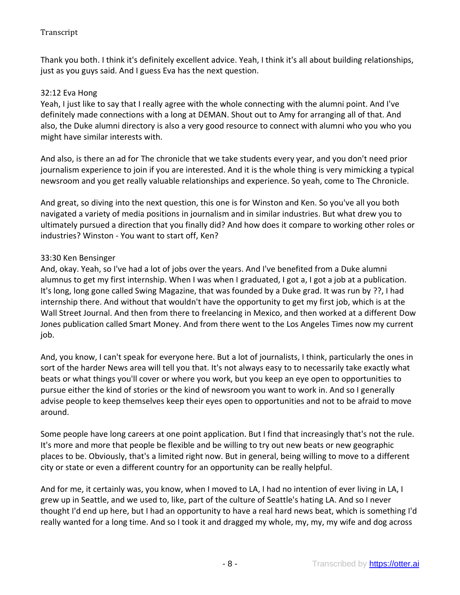Thank you both. I think it's definitely excellent advice. Yeah, I think it's all about building relationships, just as you guys said. And I guess Eva has the next question.

### 32:12 Eva Hong

Yeah, I just like to say that I really agree with the whole connecting with the alumni point. And I've definitely made connections with a long at DEMAN. Shout out to Amy for arranging all of that. And also, the Duke alumni directory is also a very good resource to connect with alumni who you who you might have similar interests with.

And also, is there an ad for The chronicle that we take students every year, and you don't need prior journalism experience to join if you are interested. And it is the whole thing is very mimicking a typical newsroom and you get really valuable relationships and experience. So yeah, come to The Chronicle.

And great, so diving into the next question, this one is for Winston and Ken. So you've all you both navigated a variety of media positions in journalism and in similar industries. But what drew you to ultimately pursued a direction that you finally did? And how does it compare to working other roles or industries? Winston - You want to start off, Ken?

### 33:30 Ken Bensinger

And, okay. Yeah, so I've had a lot of jobs over the years. And I've benefited from a Duke alumni alumnus to get my first internship. When I was when I graduated, I got a, I got a job at a publication. It's long, long gone called Swing Magazine, that was founded by a Duke grad. It was run by ??, I had internship there. And without that wouldn't have the opportunity to get my first job, which is at the Wall Street Journal. And then from there to freelancing in Mexico, and then worked at a different Dow Jones publication called Smart Money. And from there went to the Los Angeles Times now my current job.

And, you know, I can't speak for everyone here. But a lot of journalists, I think, particularly the ones in sort of the harder News area will tell you that. It's not always easy to to necessarily take exactly what beats or what things you'll cover or where you work, but you keep an eye open to opportunities to pursue either the kind of stories or the kind of newsroom you want to work in. And so I generally advise people to keep themselves keep their eyes open to opportunities and not to be afraid to move around.

Some people have long careers at one point application. But I find that increasingly that's not the rule. It's more and more that people be flexible and be willing to try out new beats or new geographic places to be. Obviously, that's a limited right now. But in general, being willing to move to a different city or state or even a different country for an opportunity can be really helpful.

And for me, it certainly was, you know, when I moved to LA, I had no intention of ever living in LA, I grew up in Seattle, and we used to, like, part of the culture of Seattle's hating LA. And so I never thought I'd end up here, but I had an opportunity to have a real hard news beat, which is something I'd really wanted for a long time. And so I took it and dragged my whole, my, my, my wife and dog across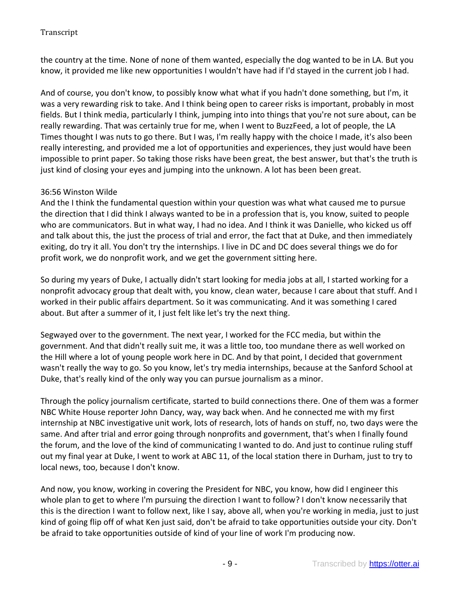the country at the time. None of none of them wanted, especially the dog wanted to be in LA. But you know, it provided me like new opportunities I wouldn't have had if I'd stayed in the current job I had.

And of course, you don't know, to possibly know what what if you hadn't done something, but I'm, it was a very rewarding risk to take. And I think being open to career risks is important, probably in most fields. But I think media, particularly I think, jumping into into things that you're not sure about, can be really rewarding. That was certainly true for me, when I went to BuzzFeed, a lot of people, the LA Times thought I was nuts to go there. But I was, I'm really happy with the choice I made, it's also been really interesting, and provided me a lot of opportunities and experiences, they just would have been impossible to print paper. So taking those risks have been great, the best answer, but that's the truth is just kind of closing your eyes and jumping into the unknown. A lot has been been great.

# 36:56 Winston Wilde

And the I think the fundamental question within your question was what what caused me to pursue the direction that I did think I always wanted to be in a profession that is, you know, suited to people who are communicators. But in what way, I had no idea. And I think it was Danielle, who kicked us off and talk about this, the just the process of trial and error, the fact that at Duke, and then immediately exiting, do try it all. You don't try the internships. I live in DC and DC does several things we do for profit work, we do nonprofit work, and we get the government sitting here.

So during my years of Duke, I actually didn't start looking for media jobs at all, I started working for a nonprofit advocacy group that dealt with, you know, clean water, because I care about that stuff. And I worked in their public affairs department. So it was communicating. And it was something I cared about. But after a summer of it, I just felt like let's try the next thing.

Segwayed over to the government. The next year, I worked for the FCC media, but within the government. And that didn't really suit me, it was a little too, too mundane there as well worked on the Hill where a lot of young people work here in DC. And by that point, I decided that government wasn't really the way to go. So you know, let's try media internships, because at the Sanford School at Duke, that's really kind of the only way you can pursue journalism as a minor.

Through the policy journalism certificate, started to build connections there. One of them was a former NBC White House reporter John Dancy, way, way back when. And he connected me with my first internship at NBC investigative unit work, lots of research, lots of hands on stuff, no, two days were the same. And after trial and error going through nonprofits and government, that's when I finally found the forum, and the love of the kind of communicating I wanted to do. And just to continue ruling stuff out my final year at Duke, I went to work at ABC 11, of the local station there in Durham, just to try to local news, too, because I don't know.

And now, you know, working in covering the President for NBC, you know, how did I engineer this whole plan to get to where I'm pursuing the direction I want to follow? I don't know necessarily that this is the direction I want to follow next, like I say, above all, when you're working in media, just to just kind of going flip off of what Ken just said, don't be afraid to take opportunities outside your city. Don't be afraid to take opportunities outside of kind of your line of work I'm producing now.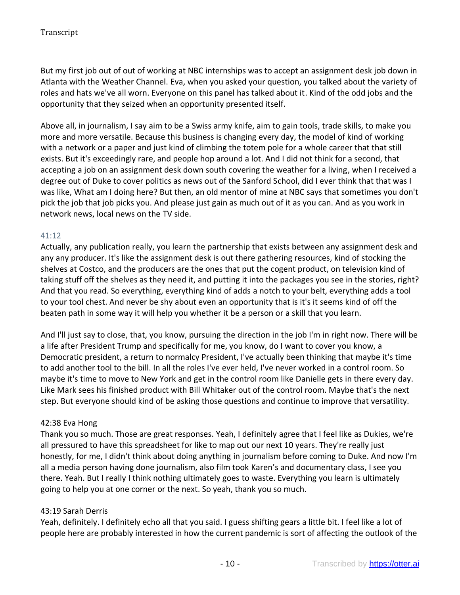But my first job out of out of working at NBC internships was to accept an assignment desk job down in Atlanta with the Weather Channel. Eva, when you asked your question, you talked about the variety of roles and hats we've all worn. Everyone on this panel has talked about it. Kind of the odd jobs and the opportunity that they seized when an opportunity presented itself.

Above all, in journalism, I say aim to be a Swiss army knife, aim to gain tools, trade skills, to make you more and more versatile. Because this business is changing every day, the model of kind of working with a network or a paper and just kind of climbing the totem pole for a whole career that that still exists. But it's exceedingly rare, and people hop around a lot. And I did not think for a second, that accepting a job on an assignment desk down south covering the weather for a living, when I received a degree out of Duke to cover politics as news out of the Sanford School, did I ever think that that was I was like, What am I doing here? But then, an old mentor of mine at NBC says that sometimes you don't pick the job that job picks you. And please just gain as much out of it as you can. And as you work in network news, local news on the TV side.

## 41:12

Actually, any publication really, you learn the partnership that exists between any assignment desk and any any producer. It's like the assignment desk is out there gathering resources, kind of stocking the shelves at Costco, and the producers are the ones that put the cogent product, on television kind of taking stuff off the shelves as they need it, and putting it into the packages you see in the stories, right? And that you read. So everything, everything kind of adds a notch to your belt, everything adds a tool to your tool chest. And never be shy about even an opportunity that is it's it seems kind of off the beaten path in some way it will help you whether it be a person or a skill that you learn.

And I'll just say to close, that, you know, pursuing the direction in the job I'm in right now. There will be a life after President Trump and specifically for me, you know, do I want to cover you know, a Democratic president, a return to normalcy President, I've actually been thinking that maybe it's time to add another tool to the bill. In all the roles I've ever held, I've never worked in a control room. So maybe it's time to move to New York and get in the control room like Danielle gets in there every day. Like Mark sees his finished product with Bill Whitaker out of the control room. Maybe that's the next step. But everyone should kind of be asking those questions and continue to improve that versatility.

## 42:38 Eva Hong

Thank you so much. Those are great responses. Yeah, I definitely agree that I feel like as Dukies, we're all pressured to have this spreadsheet for like to map out our next 10 years. They're really just honestly, for me, I didn't think about doing anything in journalism before coming to Duke. And now I'm all a media person having done journalism, also film took Karen's and documentary class, I see you there. Yeah. But I really I think nothing ultimately goes to waste. Everything you learn is ultimately going to help you at one corner or the next. So yeah, thank you so much.

## 43:19 Sarah Derris

Yeah, definitely. I definitely echo all that you said. I guess shifting gears a little bit. I feel like a lot of people here are probably interested in how the current pandemic is sort of affecting the outlook of the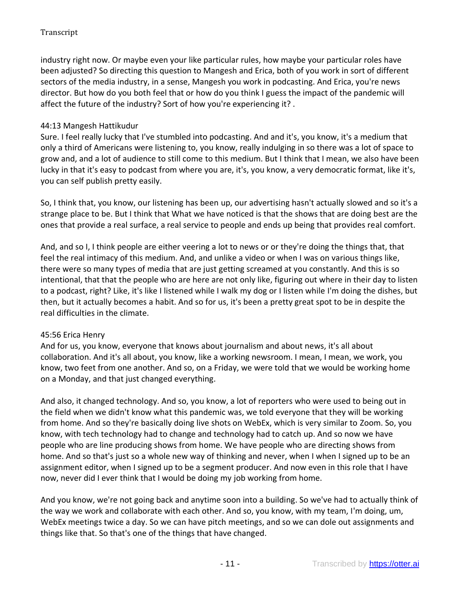industry right now. Or maybe even your like particular rules, how maybe your particular roles have been adjusted? So directing this question to Mangesh and Erica, both of you work in sort of different sectors of the media industry, in a sense, Mangesh you work in podcasting. And Erica, you're news director. But how do you both feel that or how do you think I guess the impact of the pandemic will affect the future of the industry? Sort of how you're experiencing it? .

# 44:13 Mangesh Hattikudur

Sure. I feel really lucky that I've stumbled into podcasting. And and it's, you know, it's a medium that only a third of Americans were listening to, you know, really indulging in so there was a lot of space to grow and, and a lot of audience to still come to this medium. But I think that I mean, we also have been lucky in that it's easy to podcast from where you are, it's, you know, a very democratic format, like it's, you can self publish pretty easily.

So, I think that, you know, our listening has been up, our advertising hasn't actually slowed and so it's a strange place to be. But I think that What we have noticed is that the shows that are doing best are the ones that provide a real surface, a real service to people and ends up being that provides real comfort.

And, and so I, I think people are either veering a lot to news or or they're doing the things that, that feel the real intimacy of this medium. And, and unlike a video or when I was on various things like, there were so many types of media that are just getting screamed at you constantly. And this is so intentional, that that the people who are here are not only like, figuring out where in their day to listen to a podcast, right? Like, it's like I listened while I walk my dog or I listen while I'm doing the dishes, but then, but it actually becomes a habit. And so for us, it's been a pretty great spot to be in despite the real difficulties in the climate.

## 45:56 Erica Henry

And for us, you know, everyone that knows about journalism and about news, it's all about collaboration. And it's all about, you know, like a working newsroom. I mean, I mean, we work, you know, two feet from one another. And so, on a Friday, we were told that we would be working home on a Monday, and that just changed everything.

And also, it changed technology. And so, you know, a lot of reporters who were used to being out in the field when we didn't know what this pandemic was, we told everyone that they will be working from home. And so they're basically doing live shots on WebEx, which is very similar to Zoom. So, you know, with tech technology had to change and technology had to catch up. And so now we have people who are line producing shows from home. We have people who are directing shows from home. And so that's just so a whole new way of thinking and never, when I when I signed up to be an assignment editor, when I signed up to be a segment producer. And now even in this role that I have now, never did I ever think that I would be doing my job working from home.

And you know, we're not going back and anytime soon into a building. So we've had to actually think of the way we work and collaborate with each other. And so, you know, with my team, I'm doing, um, WebEx meetings twice a day. So we can have pitch meetings, and so we can dole out assignments and things like that. So that's one of the things that have changed.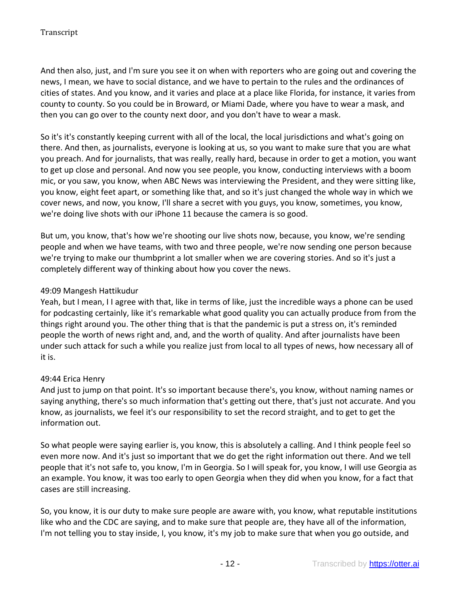And then also, just, and I'm sure you see it on when with reporters who are going out and covering the news, I mean, we have to social distance, and we have to pertain to the rules and the ordinances of cities of states. And you know, and it varies and place at a place like Florida, for instance, it varies from county to county. So you could be in Broward, or Miami Dade, where you have to wear a mask, and then you can go over to the county next door, and you don't have to wear a mask.

So it's it's constantly keeping current with all of the local, the local jurisdictions and what's going on there. And then, as journalists, everyone is looking at us, so you want to make sure that you are what you preach. And for journalists, that was really, really hard, because in order to get a motion, you want to get up close and personal. And now you see people, you know, conducting interviews with a boom mic, or you saw, you know, when ABC News was interviewing the President, and they were sitting like, you know, eight feet apart, or something like that, and so it's just changed the whole way in which we cover news, and now, you know, I'll share a secret with you guys, you know, sometimes, you know, we're doing live shots with our iPhone 11 because the camera is so good.

But um, you know, that's how we're shooting our live shots now, because, you know, we're sending people and when we have teams, with two and three people, we're now sending one person because we're trying to make our thumbprint a lot smaller when we are covering stories. And so it's just a completely different way of thinking about how you cover the news.

### 49:09 Mangesh Hattikudur

Yeah, but I mean, I I agree with that, like in terms of like, just the incredible ways a phone can be used for podcasting certainly, like it's remarkable what good quality you can actually produce from from the things right around you. The other thing that is that the pandemic is put a stress on, it's reminded people the worth of news right and, and, and the worth of quality. And after journalists have been under such attack for such a while you realize just from local to all types of news, how necessary all of it is.

#### 49:44 Erica Henry

And just to jump on that point. It's so important because there's, you know, without naming names or saying anything, there's so much information that's getting out there, that's just not accurate. And you know, as journalists, we feel it's our responsibility to set the record straight, and to get to get the information out.

So what people were saying earlier is, you know, this is absolutely a calling. And I think people feel so even more now. And it's just so important that we do get the right information out there. And we tell people that it's not safe to, you know, I'm in Georgia. So I will speak for, you know, I will use Georgia as an example. You know, it was too early to open Georgia when they did when you know, for a fact that cases are still increasing.

So, you know, it is our duty to make sure people are aware with, you know, what reputable institutions like who and the CDC are saying, and to make sure that people are, they have all of the information, I'm not telling you to stay inside, I, you know, it's my job to make sure that when you go outside, and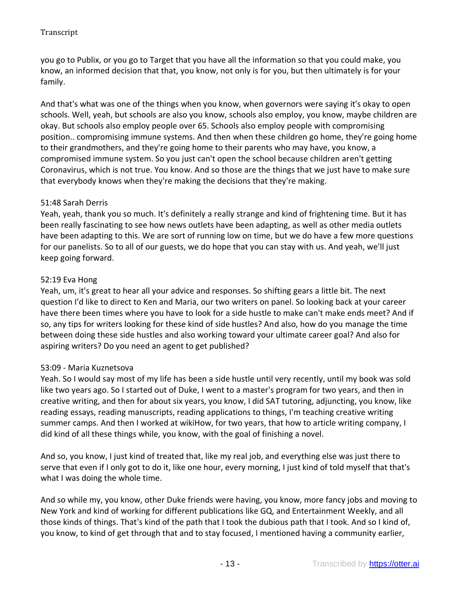you go to Publix, or you go to Target that you have all the information so that you could make, you know, an informed decision that that, you know, not only is for you, but then ultimately is for your family.

And that's what was one of the things when you know, when governors were saying it's okay to open schools. Well, yeah, but schools are also you know, schools also employ, you know, maybe children are okay. But schools also employ people over 65. Schools also employ people with compromising position.. compromising immune systems. And then when these children go home, they're going home to their grandmothers, and they're going home to their parents who may have, you know, a compromised immune system. So you just can't open the school because children aren't getting Coronavirus, which is not true. You know. And so those are the things that we just have to make sure that everybody knows when they're making the decisions that they're making.

# 51:48 Sarah Derris

Yeah, yeah, thank you so much. It's definitely a really strange and kind of frightening time. But it has been really fascinating to see how news outlets have been adapting, as well as other media outlets have been adapting to this. We are sort of running low on time, but we do have a few more questions for our panelists. So to all of our guests, we do hope that you can stay with us. And yeah, we'll just keep going forward.

# 52:19 Eva Hong

Yeah, um, it's great to hear all your advice and responses. So shifting gears a little bit. The next question I'd like to direct to Ken and Maria, our two writers on panel. So looking back at your career have there been times where you have to look for a side hustle to make can't make ends meet? And if so, any tips for writers looking for these kind of side hustles? And also, how do you manage the time between doing these side hustles and also working toward your ultimate career goal? And also for aspiring writers? Do you need an agent to get published?

## 53:09 - Maria Kuznetsova

Yeah. So I would say most of my life has been a side hustle until very recently, until my book was sold like two years ago. So I started out of Duke, I went to a master's program for two years, and then in creative writing, and then for about six years, you know, I did SAT tutoring, adjuncting, you know, like reading essays, reading manuscripts, reading applications to things, I'm teaching creative writing summer camps. And then I worked at wikiHow, for two years, that how to article writing company, I did kind of all these things while, you know, with the goal of finishing a novel.

And so, you know, I just kind of treated that, like my real job, and everything else was just there to serve that even if I only got to do it, like one hour, every morning, I just kind of told myself that that's what I was doing the whole time.

And so while my, you know, other Duke friends were having, you know, more fancy jobs and moving to New York and kind of working for different publications like GQ, and Entertainment Weekly, and all those kinds of things. That's kind of the path that I took the dubious path that I took. And so I kind of, you know, to kind of get through that and to stay focused, I mentioned having a community earlier,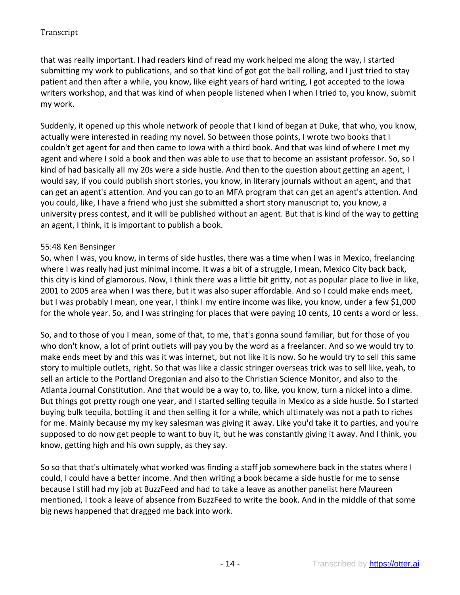that was really important. I had readers kind of read my work helped me along the way, I started submitting my work to publications, and so that kind of got got the ball rolling, and I just tried to stay patient and then after a while, you know, like eight years of hard writing, I got accepted to the Iowa writers workshop, and that was kind of when people listened when I when I tried to, you know, submit my work.

Suddenly, it opened up this whole network of people that I kind of began at Duke, that who, you know, actually were interested in reading my novel. So between those points, I wrote two books that I couldn't get agent for and then came to Iowa with a third book. And that was kind of where I met my agent and where I sold a book and then was able to use that to become an assistant professor. So, so I kind of had basically all my 20s were a side hustle. And then to the question about getting an agent, I would say, if you could publish short stories, you know, in literary journals without an agent, and that can get an agent's attention. And you can go to an MFA program that can get an agent's attention. And you could, like, I have a friend who just she submitted a short story manuscript to, you know, a university press contest, and it will be published without an agent. But that is kind of the way to getting an agent, I think, it is important to publish a book.

## 55:48 Ken Bensinger

So, when I was, you know, in terms of side hustles, there was a time when I was in Mexico, freelancing where I was really had just minimal income. It was a bit of a struggle, I mean, Mexico City back back, this city is kind of glamorous. Now, I think there was a little bit gritty, not as popular place to live in like, 2001 to 2005 area when I was there, but it was also super affordable. And so I could make ends meet, but I was probably I mean, one year, I think I my entire income was like, you know, under a few \$1,000 for the whole year. So, and I was stringing for places that were paying 10 cents, 10 cents a word or less.

So, and to those of you I mean, some of that, to me, that's gonna sound familiar, but for those of you who don't know, a lot of print outlets will pay you by the word as a freelancer. And so we would try to make ends meet by and this was it was internet, but not like it is now. So he would try to sell this same story to multiple outlets, right. So that was like a classic stringer overseas trick was to sell like, yeah, to sell an article to the Portland Oregonian and also to the Christian Science Monitor, and also to the Atlanta Journal Constitution. And that would be a way to, to, like, you know, turn a nickel into a dime. But things got pretty rough one year, and I started selling tequila in Mexico as a side hustle. So I started buying bulk tequila, bottling it and then selling it for a while, which ultimately was not a path to riches for me. Mainly because my my key salesman was giving it away. Like you'd take it to parties, and you're supposed to do now get people to want to buy it, but he was constantly giving it away. And I think, you know, getting high and his own supply, as they say.

So so that that's ultimately what worked was finding a staff job somewhere back in the states where I could, I could have a better income. And then writing a book became a side hustle for me to sense because I still had my job at BuzzFeed and had to take a leave as another panelist here Maureen mentioned, I took a leave of absence from BuzzFeed to write the book. And in the middle of that some big news happened that dragged me back into work.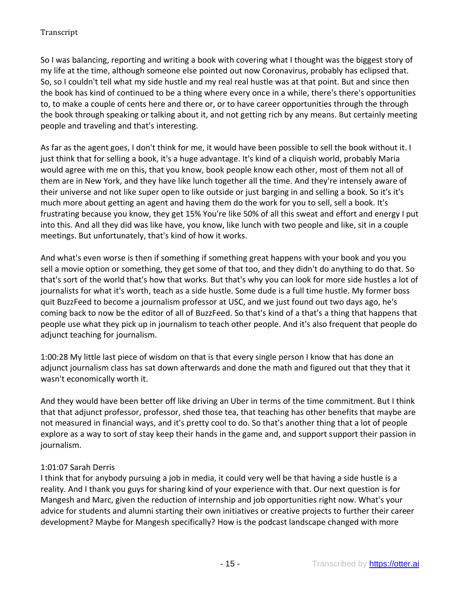So I was balancing, reporting and writing a book with covering what I thought was the biggest story of my life at the time, although someone else pointed out now Coronavirus, probably has eclipsed that. So, so I couldn't tell what my side hustle and my real real hustle was at that point. But and since then the book has kind of continued to be a thing where every once in a while, there's there's opportunities to, to make a couple of cents here and there or, or to have career opportunities through the through the book through speaking or talking about it, and not getting rich by any means. But certainly meeting people and traveling and that's interesting.

As far as the agent goes, I don't think for me, it would have been possible to sell the book without it. I just think that for selling a book, it's a huge advantage. It's kind of a cliquish world, probably Maria would agree with me on this, that you know, book people know each other, most of them not all of them are in New York, and they have like lunch together all the time. And they're intensely aware of their universe and not like super open to like outside or just barging in and selling a book. So it's it's much more about getting an agent and having them do the work for you to sell, sell a book. It's frustrating because you know, they get 15% You're like 50% of all this sweat and effort and energy I put into this. And all they did was like have, you know, like lunch with two people and like, sit in a couple meetings. But unfortunately, that's kind of how it works.

And what's even worse is then if something if something great happens with your book and you you sell a movie option or something, they get some of that too, and they didn't do anything to do that. So that's sort of the world that's how that works. But that's why you can look for more side hustles a lot of journalists for what it's worth, teach as a side hustle. Some dude is a full time hustle. My former boss quit BuzzFeed to become a journalism professor at USC, and we just found out two days ago, he's coming back to now be the editor of all of BuzzFeed. So that's kind of a that's a thing that happens that people use what they pick up in journalism to teach other people. And it's also frequent that people do adjunct teaching for journalism.

1:00:28 My little last piece of wisdom on that is that every single person I know that has done an adjunct journalism class has sat down afterwards and done the math and figured out that they that it wasn't economically worth it.

And they would have been better off like driving an Uber in terms of the time commitment. But I think that that adjunct professor, professor, shed those tea, that teaching has other benefits that maybe are not measured in financial ways, and it's pretty cool to do. So that's another thing that a lot of people explore as a way to sort of stay keep their hands in the game and, and support support their passion in journalism.

# 1:01:07 Sarah Derris

I think that for anybody pursuing a job in media, it could very well be that having a side hustle is a reality. And I thank you guys for sharing kind of your experience with that. Our next question is for Mangesh and Marc, given the reduction of internship and job opportunities right now. What's your advice for students and alumni starting their own initiatives or creative projects to further their career development? Maybe for Mangesh specifically? How is the podcast landscape changed with more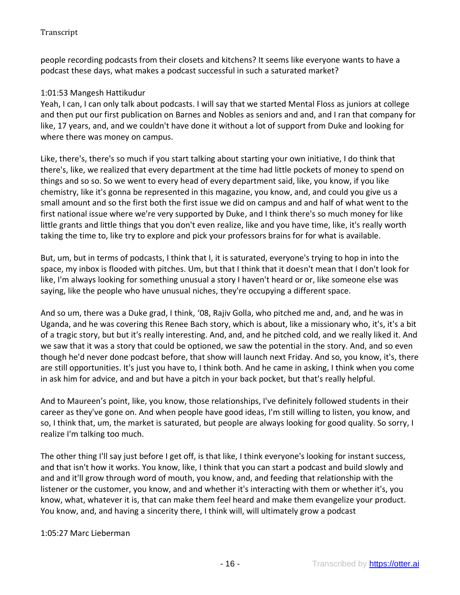people recording podcasts from their closets and kitchens? It seems like everyone wants to have a podcast these days, what makes a podcast successful in such a saturated market?

## 1:01:53 Mangesh Hattikudur

Yeah, I can, I can only talk about podcasts. I will say that we started Mental Floss as juniors at college and then put our first publication on Barnes and Nobles as seniors and and, and I ran that company for like, 17 years, and, and we couldn't have done it without a lot of support from Duke and looking for where there was money on campus.

Like, there's, there's so much if you start talking about starting your own initiative, I do think that there's, like, we realized that every department at the time had little pockets of money to spend on things and so so. So we went to every head of every department said, like, you know, if you like chemistry, like it's gonna be represented in this magazine, you know, and, and could you give us a small amount and so the first both the first issue we did on campus and and half of what went to the first national issue where we're very supported by Duke, and I think there's so much money for like little grants and little things that you don't even realize, like and you have time, like, it's really worth taking the time to, like try to explore and pick your professors brains for for what is available.

But, um, but in terms of podcasts, I think that I, it is saturated, everyone's trying to hop in into the space, my inbox is flooded with pitches. Um, but that I think that it doesn't mean that I don't look for like, I'm always looking for something unusual a story I haven't heard or or, like someone else was saying, like the people who have unusual niches, they're occupying a different space.

And so um, there was a Duke grad, I think, '08, Rajiv Golla, who pitched me and, and, and he was in Uganda, and he was covering this Renee Bach story, which is about, like a missionary who, it's, it's a bit of a tragic story, but but it's really interesting. And, and, and he pitched cold, and we really liked it. And we saw that it was a story that could be optioned, we saw the potential in the story. And, and so even though he'd never done podcast before, that show will launch next Friday. And so, you know, it's, there are still opportunities. It's just you have to, I think both. And he came in asking, I think when you come in ask him for advice, and and but have a pitch in your back pocket, but that's really helpful.

And to Maureen's point, like, you know, those relationships, I've definitely followed students in their career as they've gone on. And when people have good ideas, I'm still willing to listen, you know, and so, I think that, um, the market is saturated, but people are always looking for good quality. So sorry, I realize I'm talking too much.

The other thing I'll say just before I get off, is that like, I think everyone's looking for instant success, and that isn't how it works. You know, like, I think that you can start a podcast and build slowly and and and it'll grow through word of mouth, you know, and, and feeding that relationship with the listener or the customer, you know, and and whether it's interacting with them or whether it's, you know, what, whatever it is, that can make them feel heard and make them evangelize your product. You know, and, and having a sincerity there, I think will, will ultimately grow a podcast

## 1:05:27 Marc Lieberman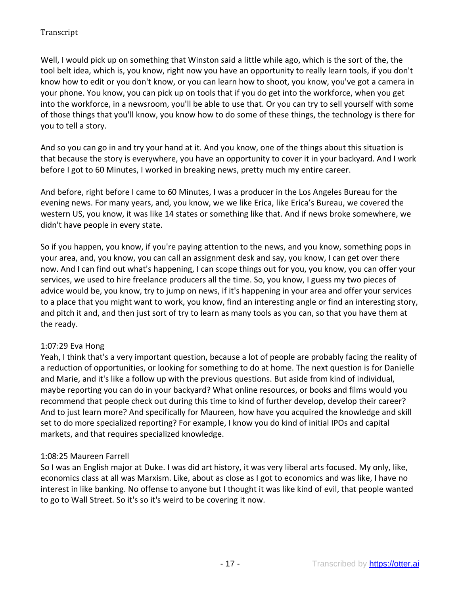Well, I would pick up on something that Winston said a little while ago, which is the sort of the, the tool belt idea, which is, you know, right now you have an opportunity to really learn tools, if you don't know how to edit or you don't know, or you can learn how to shoot, you know, you've got a camera in your phone. You know, you can pick up on tools that if you do get into the workforce, when you get into the workforce, in a newsroom, you'll be able to use that. Or you can try to sell yourself with some of those things that you'll know, you know how to do some of these things, the technology is there for you to tell a story.

And so you can go in and try your hand at it. And you know, one of the things about this situation is that because the story is everywhere, you have an opportunity to cover it in your backyard. And I work before I got to 60 Minutes, I worked in breaking news, pretty much my entire career.

And before, right before I came to 60 Minutes, I was a producer in the Los Angeles Bureau for the evening news. For many years, and, you know, we we like Erica, like Erica's Bureau, we covered the western US, you know, it was like 14 states or something like that. And if news broke somewhere, we didn't have people in every state.

So if you happen, you know, if you're paying attention to the news, and you know, something pops in your area, and, you know, you can call an assignment desk and say, you know, I can get over there now. And I can find out what's happening, I can scope things out for you, you know, you can offer your services, we used to hire freelance producers all the time. So, you know, I guess my two pieces of advice would be, you know, try to jump on news, if it's happening in your area and offer your services to a place that you might want to work, you know, find an interesting angle or find an interesting story, and pitch it and, and then just sort of try to learn as many tools as you can, so that you have them at the ready.

## 1:07:29 Eva Hong

Yeah, I think that's a very important question, because a lot of people are probably facing the reality of a reduction of opportunities, or looking for something to do at home. The next question is for Danielle and Marie, and it's like a follow up with the previous questions. But aside from kind of individual, maybe reporting you can do in your backyard? What online resources, or books and films would you recommend that people check out during this time to kind of further develop, develop their career? And to just learn more? And specifically for Maureen, how have you acquired the knowledge and skill set to do more specialized reporting? For example, I know you do kind of initial IPOs and capital markets, and that requires specialized knowledge.

#### 1:08:25 Maureen Farrell

So I was an English major at Duke. I was did art history, it was very liberal arts focused. My only, like, economics class at all was Marxism. Like, about as close as I got to economics and was like, I have no interest in like banking. No offense to anyone but I thought it was like kind of evil, that people wanted to go to Wall Street. So it's so it's weird to be covering it now.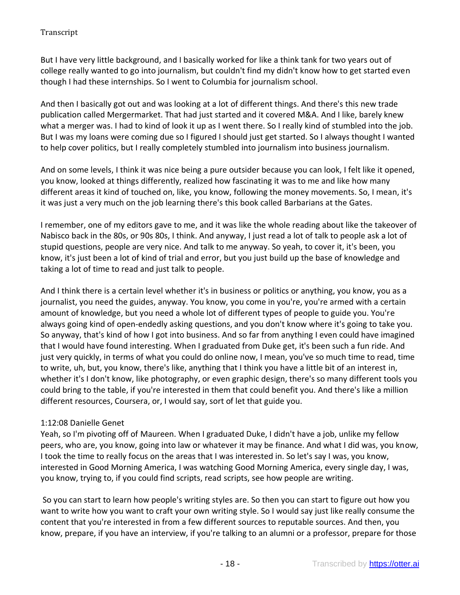But I have very little background, and I basically worked for like a think tank for two years out of college really wanted to go into journalism, but couldn't find my didn't know how to get started even though I had these internships. So I went to Columbia for journalism school.

And then I basically got out and was looking at a lot of different things. And there's this new trade publication called Mergermarket. That had just started and it covered M&A. And I like, barely knew what a merger was. I had to kind of look it up as I went there. So I really kind of stumbled into the job. But I was my loans were coming due so I figured I should just get started. So I always thought I wanted to help cover politics, but I really completely stumbled into journalism into business journalism.

And on some levels, I think it was nice being a pure outsider because you can look, I felt like it opened, you know, looked at things differently, realized how fascinating it was to me and like how many different areas it kind of touched on, like, you know, following the money movements. So, I mean, it's it was just a very much on the job learning there's this book called Barbarians at the Gates.

I remember, one of my editors gave to me, and it was like the whole reading about like the takeover of Nabisco back in the 80s, or 90s 80s, I think. And anyway, I just read a lot of talk to people ask a lot of stupid questions, people are very nice. And talk to me anyway. So yeah, to cover it, it's been, you know, it's just been a lot of kind of trial and error, but you just build up the base of knowledge and taking a lot of time to read and just talk to people.

And I think there is a certain level whether it's in business or politics or anything, you know, you as a journalist, you need the guides, anyway. You know, you come in you're, you're armed with a certain amount of knowledge, but you need a whole lot of different types of people to guide you. You're always going kind of open-endedly asking questions, and you don't know where it's going to take you. So anyway, that's kind of how I got into business. And so far from anything I even could have imagined that I would have found interesting. When I graduated from Duke get, it's been such a fun ride. And just very quickly, in terms of what you could do online now, I mean, you've so much time to read, time to write, uh, but, you know, there's like, anything that I think you have a little bit of an interest in, whether it's I don't know, like photography, or even graphic design, there's so many different tools you could bring to the table, if you're interested in them that could benefit you. And there's like a million different resources, Coursera, or, I would say, sort of let that guide you.

## 1:12:08 Danielle Genet

Yeah, so I'm pivoting off of Maureen. When I graduated Duke, I didn't have a job, unlike my fellow peers, who are, you know, going into law or whatever it may be finance. And what I did was, you know, I took the time to really focus on the areas that I was interested in. So let's say I was, you know, interested in Good Morning America, I was watching Good Morning America, every single day, I was, you know, trying to, if you could find scripts, read scripts, see how people are writing.

So you can start to learn how people's writing styles are. So then you can start to figure out how you want to write how you want to craft your own writing style. So I would say just like really consume the content that you're interested in from a few different sources to reputable sources. And then, you know, prepare, if you have an interview, if you're talking to an alumni or a professor, prepare for those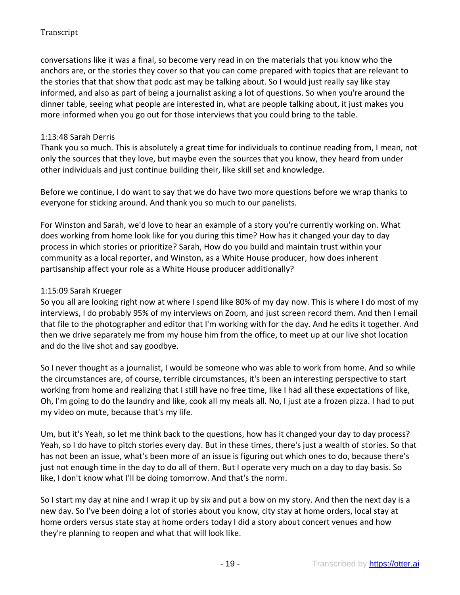conversations like it was a final, so become very read in on the materials that you know who the anchors are, or the stories they cover so that you can come prepared with topics that are relevant to the stories that that show that podc ast may be talking about. So I would just really say like stay informed, and also as part of being a journalist asking a lot of questions. So when you're around the dinner table, seeing what people are interested in, what are people talking about, it just makes you more informed when you go out for those interviews that you could bring to the table.

## 1:13:48 Sarah Derris

Thank you so much. This is absolutely a great time for individuals to continue reading from, I mean, not only the sources that they love, but maybe even the sources that you know, they heard from under other individuals and just continue building their, like skill set and knowledge.

Before we continue, I do want to say that we do have two more questions before we wrap thanks to everyone for sticking around. And thank you so much to our panelists.

For Winston and Sarah, we'd love to hear an example of a story you're currently working on. What does working from home look like for you during this time? How has it changed your day to day process in which stories or prioritize? Sarah, How do you build and maintain trust within your community as a local reporter, and Winston, as a White House producer, how does inherent partisanship affect your role as a White House producer additionally?

### 1:15:09 Sarah Krueger

So you all are looking right now at where I spend like 80% of my day now. This is where I do most of my interviews, I do probably 95% of my interviews on Zoom, and just screen record them. And then I email that file to the photographer and editor that I'm working with for the day. And he edits it together. And then we drive separately me from my house him from the office, to meet up at our live shot location and do the live shot and say goodbye.

So I never thought as a journalist, I would be someone who was able to work from home. And so while the circumstances are, of course, terrible circumstances, it's been an interesting perspective to start working from home and realizing that I still have no free time, like I had all these expectations of like, Oh, I'm going to do the laundry and like, cook all my meals all. No, I just ate a frozen pizza. I had to put my video on mute, because that's my life.

Um, but it's Yeah, so let me think back to the questions, how has it changed your day to day process? Yeah, so I do have to pitch stories every day. But in these times, there's just a wealth of stories. So that has not been an issue, what's been more of an issue is figuring out which ones to do, because there's just not enough time in the day to do all of them. But I operate very much on a day to day basis. So like, I don't know what I'll be doing tomorrow. And that's the norm.

So I start my day at nine and I wrap it up by six and put a bow on my story. And then the next day is a new day. So I've been doing a lot of stories about you know, city stay at home orders, local stay at home orders versus state stay at home orders today I did a story about concert venues and how they're planning to reopen and what that will look like.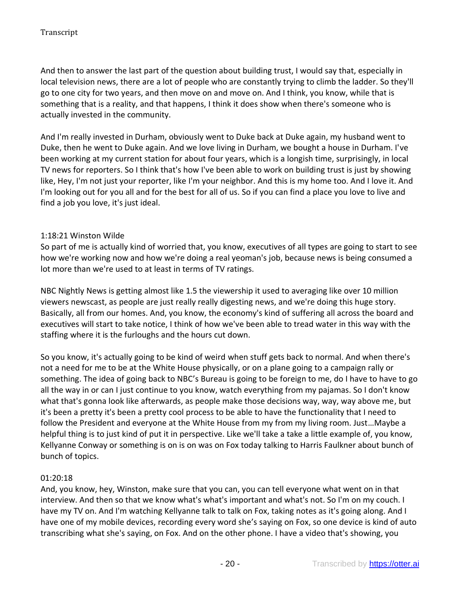And then to answer the last part of the question about building trust, I would say that, especially in local television news, there are a lot of people who are constantly trying to climb the ladder. So they'll go to one city for two years, and then move on and move on. And I think, you know, while that is something that is a reality, and that happens, I think it does show when there's someone who is actually invested in the community.

And I'm really invested in Durham, obviously went to Duke back at Duke again, my husband went to Duke, then he went to Duke again. And we love living in Durham, we bought a house in Durham. I've been working at my current station for about four years, which is a longish time, surprisingly, in local TV news for reporters. So I think that's how I've been able to work on building trust is just by showing like, Hey, I'm not just your reporter, like I'm your neighbor. And this is my home too. And I love it. And I'm looking out for you all and for the best for all of us. So if you can find a place you love to live and find a job you love, it's just ideal.

## 1:18:21 Winston Wilde

So part of me is actually kind of worried that, you know, executives of all types are going to start to see how we're working now and how we're doing a real yeoman's job, because news is being consumed a lot more than we're used to at least in terms of TV ratings.

NBC Nightly News is getting almost like 1.5 the viewership it used to averaging like over 10 million viewers newscast, as people are just really really digesting news, and we're doing this huge story. Basically, all from our homes. And, you know, the economy's kind of suffering all across the board and executives will start to take notice, I think of how we've been able to tread water in this way with the staffing where it is the furloughs and the hours cut down.

So you know, it's actually going to be kind of weird when stuff gets back to normal. And when there's not a need for me to be at the White House physically, or on a plane going to a campaign rally or something. The idea of going back to NBC's Bureau is going to be foreign to me, do I have to have to go all the way in or can I just continue to you know, watch everything from my pajamas. So I don't know what that's gonna look like afterwards, as people make those decisions way, way, way above me, but it's been a pretty it's been a pretty cool process to be able to have the functionality that I need to follow the President and everyone at the White House from my from my living room. Just…Maybe a helpful thing is to just kind of put it in perspective. Like we'll take a take a little example of, you know, Kellyanne Conway or something is on is on was on Fox today talking to Harris Faulkner about bunch of bunch of topics.

#### 01:20:18

And, you know, hey, Winston, make sure that you can, you can tell everyone what went on in that interview. And then so that we know what's what's important and what's not. So I'm on my couch. I have my TV on. And I'm watching Kellyanne talk to talk on Fox, taking notes as it's going along. And I have one of my mobile devices, recording every word she's saying on Fox, so one device is kind of auto transcribing what she's saying, on Fox. And on the other phone. I have a video that's showing, you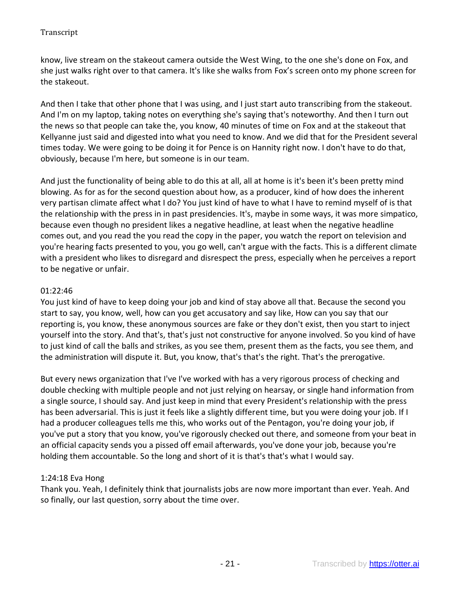know, live stream on the stakeout camera outside the West Wing, to the one she's done on Fox, and she just walks right over to that camera. It's like she walks from Fox's screen onto my phone screen for the stakeout.

And then I take that other phone that I was using, and I just start auto transcribing from the stakeout. And I'm on my laptop, taking notes on everything she's saying that's noteworthy. And then I turn out the news so that people can take the, you know, 40 minutes of time on Fox and at the stakeout that Kellyanne just said and digested into what you need to know. And we did that for the President several times today. We were going to be doing it for Pence is on Hannity right now. I don't have to do that, obviously, because I'm here, but someone is in our team.

And just the functionality of being able to do this at all, all at home is it's been it's been pretty mind blowing. As for as for the second question about how, as a producer, kind of how does the inherent very partisan climate affect what I do? You just kind of have to what I have to remind myself of is that the relationship with the press in in past presidencies. It's, maybe in some ways, it was more simpatico, because even though no president likes a negative headline, at least when the negative headline comes out, and you read the you read the copy in the paper, you watch the report on television and you're hearing facts presented to you, you go well, can't argue with the facts. This is a different climate with a president who likes to disregard and disrespect the press, especially when he perceives a report to be negative or unfair.

### 01:22:46

You just kind of have to keep doing your job and kind of stay above all that. Because the second you start to say, you know, well, how can you get accusatory and say like, How can you say that our reporting is, you know, these anonymous sources are fake or they don't exist, then you start to inject yourself into the story. And that's, that's just not constructive for anyone involved. So you kind of have to just kind of call the balls and strikes, as you see them, present them as the facts, you see them, and the administration will dispute it. But, you know, that's that's the right. That's the prerogative.

But every news organization that I've I've worked with has a very rigorous process of checking and double checking with multiple people and not just relying on hearsay, or single hand information from a single source, I should say. And just keep in mind that every President's relationship with the press has been adversarial. This is just it feels like a slightly different time, but you were doing your job. If I had a producer colleagues tells me this, who works out of the Pentagon, you're doing your job, if you've put a story that you know, you've rigorously checked out there, and someone from your beat in an official capacity sends you a pissed off email afterwards, you've done your job, because you're holding them accountable. So the long and short of it is that's that's what I would say.

#### 1:24:18 Eva Hong

Thank you. Yeah, I definitely think that journalists jobs are now more important than ever. Yeah. And so finally, our last question, sorry about the time over.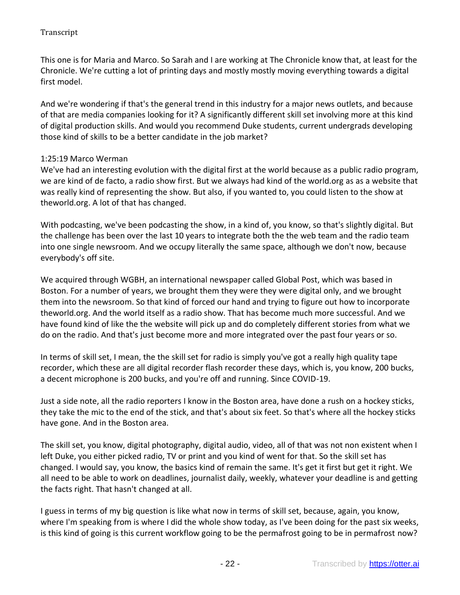This one is for Maria and Marco. So Sarah and I are working at The Chronicle know that, at least for the Chronicle. We're cutting a lot of printing days and mostly mostly moving everything towards a digital first model.

And we're wondering if that's the general trend in this industry for a major news outlets, and because of that are media companies looking for it? A significantly different skill set involving more at this kind of digital production skills. And would you recommend Duke students, current undergrads developing those kind of skills to be a better candidate in the job market?

### 1:25:19 Marco Werman

We've had an interesting evolution with the digital first at the world because as a public radio program, we are kind of de facto, a radio show first. But we always had kind of the world.org as as a website that was really kind of representing the show. But also, if you wanted to, you could listen to the show at theworld.org. A lot of that has changed.

With podcasting, we've been podcasting the show, in a kind of, you know, so that's slightly digital. But the challenge has been over the last 10 years to integrate both the the web team and the radio team into one single newsroom. And we occupy literally the same space, although we don't now, because everybody's off site.

We acquired through WGBH, an international newspaper called Global Post, which was based in Boston. For a number of years, we brought them they were they were digital only, and we brought them into the newsroom. So that kind of forced our hand and trying to figure out how to incorporate theworld.org. And the world itself as a radio show. That has become much more successful. And we have found kind of like the the website will pick up and do completely different stories from what we do on the radio. And that's just become more and more integrated over the past four years or so.

In terms of skill set, I mean, the the skill set for radio is simply you've got a really high quality tape recorder, which these are all digital recorder flash recorder these days, which is, you know, 200 bucks, a decent microphone is 200 bucks, and you're off and running. Since COVID-19.

Just a side note, all the radio reporters I know in the Boston area, have done a rush on a hockey sticks, they take the mic to the end of the stick, and that's about six feet. So that's where all the hockey sticks have gone. And in the Boston area.

The skill set, you know, digital photography, digital audio, video, all of that was not non existent when I left Duke, you either picked radio, TV or print and you kind of went for that. So the skill set has changed. I would say, you know, the basics kind of remain the same. It's get it first but get it right. We all need to be able to work on deadlines, journalist daily, weekly, whatever your deadline is and getting the facts right. That hasn't changed at all.

I guess in terms of my big question is like what now in terms of skill set, because, again, you know, where I'm speaking from is where I did the whole show today, as I've been doing for the past six weeks, is this kind of going is this current workflow going to be the permafrost going to be in permafrost now?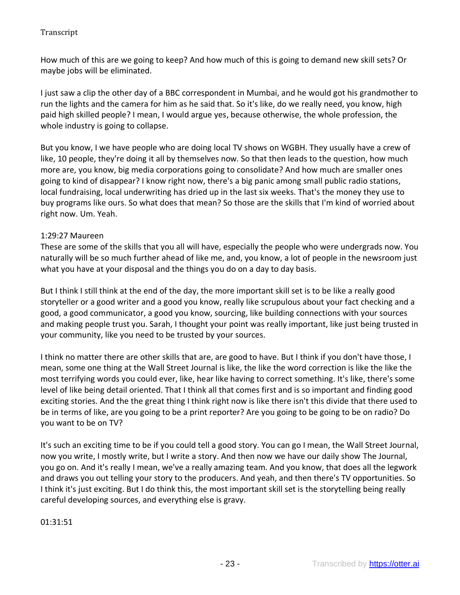How much of this are we going to keep? And how much of this is going to demand new skill sets? Or maybe jobs will be eliminated.

I just saw a clip the other day of a BBC correspondent in Mumbai, and he would got his grandmother to run the lights and the camera for him as he said that. So it's like, do we really need, you know, high paid high skilled people? I mean, I would argue yes, because otherwise, the whole profession, the whole industry is going to collapse.

But you know, I we have people who are doing local TV shows on WGBH. They usually have a crew of like, 10 people, they're doing it all by themselves now. So that then leads to the question, how much more are, you know, big media corporations going to consolidate? And how much are smaller ones going to kind of disappear? I know right now, there's a big panic among small public radio stations, local fundraising, local underwriting has dried up in the last six weeks. That's the money they use to buy programs like ours. So what does that mean? So those are the skills that I'm kind of worried about right now. Um. Yeah.

## 1:29:27 Maureen

These are some of the skills that you all will have, especially the people who were undergrads now. You naturally will be so much further ahead of like me, and, you know, a lot of people in the newsroom just what you have at your disposal and the things you do on a day to day basis.

But I think I still think at the end of the day, the more important skill set is to be like a really good storyteller or a good writer and a good you know, really like scrupulous about your fact checking and a good, a good communicator, a good you know, sourcing, like building connections with your sources and making people trust you. Sarah, I thought your point was really important, like just being trusted in your community, like you need to be trusted by your sources.

I think no matter there are other skills that are, are good to have. But I think if you don't have those, I mean, some one thing at the Wall Street Journal is like, the like the word correction is like the like the most terrifying words you could ever, like, hear like having to correct something. It's like, there's some level of like being detail oriented. That I think all that comes first and is so important and finding good exciting stories. And the the great thing I think right now is like there isn't this divide that there used to be in terms of like, are you going to be a print reporter? Are you going to be going to be on radio? Do you want to be on TV?

It's such an exciting time to be if you could tell a good story. You can go I mean, the Wall Street Journal, now you write, I mostly write, but I write a story. And then now we have our daily show The Journal, you go on. And it's really I mean, we've a really amazing team. And you know, that does all the legwork and draws you out telling your story to the producers. And yeah, and then there's TV opportunities. So I think it's just exciting. But I do think this, the most important skill set is the storytelling being really careful developing sources, and everything else is gravy.

01:31:51